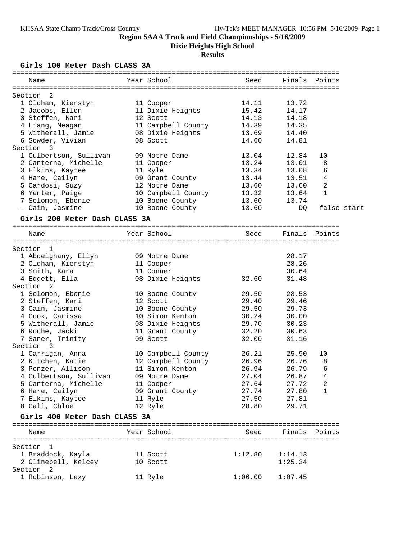**Dixie Heights High School**

## **Results**

## **Girls 100 Meter Dash CLASS 3A**

| Name                                     | Year School                         | Seed    | Finals  | Points        |             |
|------------------------------------------|-------------------------------------|---------|---------|---------------|-------------|
| Section 2                                |                                     |         |         |               |             |
| 1 Oldham, Kierstyn                       | 11 Cooper                           | 14.11   | 13.72   |               |             |
| 2 Jacobs, Ellen                          | 11 Dixie Heights                    | 15.42   | 14.17   |               |             |
| 3 Steffen, Kari                          | 12 Scott                            | 14.13   | 14.18   |               |             |
| 4 Liang, Meagan                          | 11 Campbell County 14.39            |         | 14.35   |               |             |
| 5 Witherall, Jamie                       | 08 Dixie Heights                    | 13.69   | 14.40   |               |             |
| 6 Sowder, Vivian                         | 08 Scott                            | 14.60   | 14.81   |               |             |
| Section 3                                |                                     |         |         |               |             |
| 1 Culbertson, Sullivan                   | 09 Notre Dame                       | 13.04   | 12.84   | 10            |             |
| 2 Canterna, Michelle                     | 11 Cooper                           | 13.24   | 13.01   | 8             |             |
| 3 Elkins, Kaytee                         | 11 Ryle                             | 13.34   | 13.08   | 6             |             |
| 4 Hare, Cailyn                           | 09 Grant County 13.44               |         | 13.51   | 4             |             |
| 5 Cardosi, Suzy                          | 12 Notre Dame                       | 13.60   | 13.60   | 2             |             |
| 6 Yenter, Paige                          | 10 Campbell County                  | 13.32   | 13.64   | $\mathbf{1}$  |             |
| 7 Solomon, Ebonie                        | 10 Boone County<br>10 Boone County  | 13.60   | 13.74   |               |             |
| -- Cain, Jasmine                         |                                     | 13.60   | DQ      |               | false start |
| Girls 200 Meter Dash CLASS 3A            |                                     |         |         |               |             |
|                                          |                                     |         |         |               |             |
| Name                                     | Year School                         | Seed    |         | Finals Points |             |
| Section 1                                |                                     |         |         |               |             |
| 1 Abdelghany, Ellyn                      | 09 Notre Dame                       |         | 28.17   |               |             |
| 2 Oldham, Kierstyn                       | 11 Cooper                           |         | 28.26   |               |             |
| 3 Smith, Kara                            | 11 Conner                           |         | 30.64   |               |             |
| 4 Edgett, Ella                           | 08 Dixie Heights                    | 32.60   | 31.48   |               |             |
| Section <sub>2</sub>                     |                                     |         |         |               |             |
| 1 Solomon, Ebonie                        | 10 Boone County                     | 29.50   | 28.53   |               |             |
| 2 Steffen, Kari                          | 12 Scott                            | 29.40   | 29.46   |               |             |
| 3 Cain, Jasmine                          | 10 Boone County                     | 29.50   | 29.73   |               |             |
| 4 Cook, Carissa                          | 10 Simon Kenton                     | 30.24   | 30.00   |               |             |
| 5 Witherall, Jamie                       |                                     | 29.70   | 30.23   |               |             |
| 6 Roche, Jacki                           | 08 Dixie Heights<br>11 Grant County | 32.20   | 30.63   |               |             |
| 7 Saner, Trinity                         | 09 Scott                            | 32.00   | 31.16   |               |             |
| Section 3                                |                                     |         |         |               |             |
| 1 Carrigan, Anna                         | 10 Campbell County 26.21            |         | 25.90   | 10            |             |
| 2 Kitchen, Katie                         | 12 Campbell County                  | 26.96   | 26.76   | 8             |             |
| 3 Ponzer, Allison                        | 11 Simon Kenton                     | 26.94   | 26.79   | 6             |             |
| 4 Culbertson, Sullivan                   | 09 Notre Dame                       | 27.04   | 26.87   | 4             |             |
| 5 Canterna, Michelle                     | 11 Cooper                           | 27.64   | 27.72   | 2             |             |
| 6 Hare, Cailyn                           | 09 Grant County                     | 27.74   | 27.80   | 1             |             |
| 7 Elkins, Kaytee                         | 11 Ryle                             | 27.50   | 27.81   |               |             |
| 8 Call, Chloe                            | 12 Ryle                             | 28.80   | 29.71   |               |             |
| Girls 400 Meter Dash CLASS 3A            |                                     |         |         |               |             |
| Name                                     | Year School                         | Seed    | Finals  | Points        |             |
|                                          |                                     |         |         |               |             |
| Section 1                                |                                     |         |         |               |             |
| 1 Braddock, Kayla                        | 11 Scott                            | 1:12.80 | 1:14.13 |               |             |
| 2 Clinebell, Kelcey                      | 10 Scott                            |         | 1:25.34 |               |             |
| Section <sub>2</sub><br>1 Robinson, Lexy | 11 Ryle                             | 1:06.00 | 1:07.45 |               |             |
|                                          |                                     |         |         |               |             |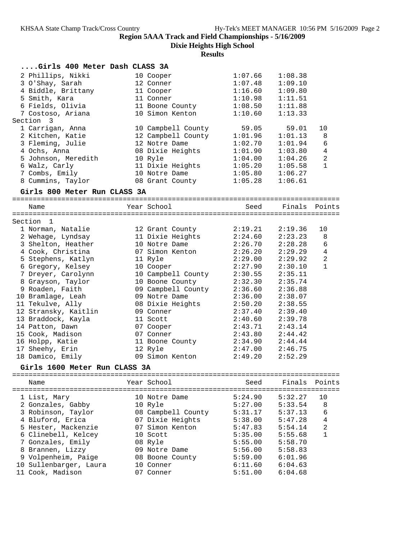**Dixie Heights High School**

## **Results**

| Girls 400 Meter Dash CLASS 3A |                    |         |               |                |
|-------------------------------|--------------------|---------|---------------|----------------|
| 2 Phillips, Nikki             | 10 Cooper          | 1:07.66 | 1:08.38       |                |
| 3 O'Shay, Sarah               | 12 Conner          | 1:07.48 | 1:09.10       |                |
| 4 Biddle, Brittany            | 11 Cooper          | 1:16.60 | 1:09.80       |                |
| 5 Smith, Kara                 | 11 Conner          | 1:10.98 | 1:11.51       |                |
| 6 Fields, Olivia              | 11 Boone County    | 1:08.50 | 1:11.88       |                |
| 7 Costoso, Ariana             | 10 Simon Kenton    | 1:10.60 | 1:13.33       |                |
| Section 3                     |                    |         |               |                |
| 1 Carrigan, Anna              | 10 Campbell County | 59.05   | 59.01         | 10             |
| 2 Kitchen, Katie              | 12 Campbell County | 1:01.96 | 1:01.13       | 8              |
| 3 Fleming, Julie              | 12 Notre Dame      | 1:02.70 | 1:01.94       | 6              |
| 4 Ochs, Anna                  | 08 Dixie Heights   | 1:01.90 | 1:03.80       | 4              |
| 5 Johnson, Meredith           | 10 Ryle            | 1:04.00 | 1:04.26       | 2              |
| 6 Walz, Carly                 | 11 Dixie Heights   | 1:05.20 | 1:05.58       | 1              |
| 7 Combs, Emily                | 10 Notre Dame      | 1:05.80 | 1:06.27       |                |
| 8 Cummins, Taylor             | 08 Grant County    | 1:05.28 | 1:06.61       |                |
|                               |                    |         |               |                |
| Girls 800 Meter Run CLASS 3A  |                    |         |               |                |
| Name                          | Year School        | Seed    | Finals Points |                |
|                               |                    |         |               |                |
| Section 1                     |                    |         |               |                |
| 1 Norman, Natalie             | 12 Grant County    | 2:19.21 | 2:19.36       | 10             |
| 2 Wehage, Lyndsay             | 11 Dixie Heights   | 2:24.60 | 2:23.23       | 8              |
| 3 Shelton, Heather            | 10 Notre Dame      | 2:26.70 | 2:28.28       | 6              |
| 4 Cook, Christina             | 07 Simon Kenton    | 2:26.20 | 2:29.29       | $\overline{4}$ |
| 5 Stephens, Katlyn            | 11 Ryle            | 2:29.00 | 2:29.92       | $\overline{a}$ |
| 6 Gregory, Kelsey             | 10 Cooper          | 2:27.90 | 2:30.10       | $\mathbf{1}$   |
| 7 Dreyer, Carolynn            | 10 Campbell County | 2:30.55 | 2:35.11       |                |
| 8 Grayson, Taylor             | 10 Boone County    | 2:32.30 | 2:35.74       |                |
| 9 Roaden, Faith               | 09 Campbell County | 2:36.60 | 2:36.88       |                |
| 10 Bramlage, Leah             | 09 Notre Dame      | 2:36.00 | 2:38.07       |                |
| 11 Tekulve, Ally              | 08 Dixie Heights   | 2:50.20 | 2:38.55       |                |
| 12 Stransky, Kaitlin          | 09 Conner          | 2:37.40 | 2:39.40       |                |
| 13 Braddock, Kayla            | 11 Scott           | 2:40.60 | 2:39.78       |                |
| 14 Patton, Dawn               | 07 Cooper          | 2:43.71 | 2:43.14       |                |
| 15 Cook, Madison              | 07 Conner          | 2:43.80 | 2:44.42       |                |
| 16 Holpp, Katie               | 11 Boone County    | 2:34.90 | 2:44.44       |                |
| 17 Sheehy, Erin               | 12 Ryle            | 2:47.00 | 2:46.75       |                |
| 18 Damico, Emily              | 09 Simon Kenton    | 2:49.20 | 2:52.29       |                |
| Girls 1600 Meter Run CLASS 3A |                    |         |               |                |
|                               |                    |         |               |                |
| Name                          | Year School        | Seed    | Finals        | Points         |
| 1 List, Mary                  | 10 Notre Dame      | 5:24.90 | 5:32.27       | 10             |
| 2 Gonzales, Gabby             | 10 Ryle            | 5:27.00 | 5:33.54       | 8              |
| 3 Robinson, Taylor            | 08 Campbell County | 5:31.17 | 5:37.13       | 6              |
| 4 Bluford, Erica              | 07 Dixie Heights   | 5:38.00 | 5:47.28       | $\overline{4}$ |
| 5 Hester, Mackenzie           | 07 Simon Kenton    | 5:47.83 | 5:54.14       | $\sqrt{2}$     |
| 6 Clinebell, Kelcey           | 10 Scott           | 5:35.00 | 5:55.68       | $\mathbf{1}$   |
| 7 Gonzales, Emily             | 08 Ryle            | 5:55.00 | 5:58.70       |                |
| 8 Brannen, Lizzy              | 09 Notre Dame      | 5:56.00 | 5:58.83       |                |
| 9 Volpenheim, Paige           | 08 Boone County    | 5:59.00 | 6:01.96       |                |
| 10 Sullenbarger, Laura        | 10 Conner          | 6:11.60 | 6:04.63       |                |
|                               |                    |         |               |                |

11 Cook, Madison 07 Conner 5:51.00 6:04.68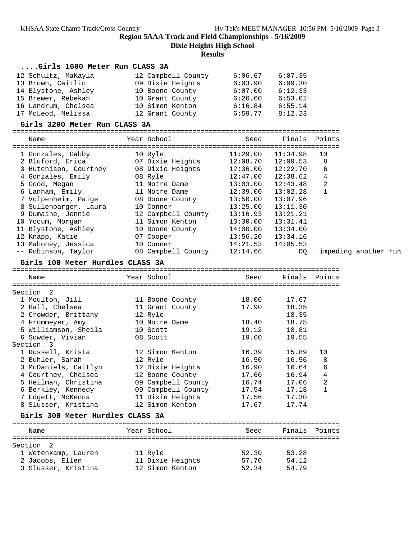**Dixie Heights High School**

| Girls 1600 Meter Run CLASS 3A          |                                                                                                                                                                                                                                     |                     |                |              |                      |
|----------------------------------------|-------------------------------------------------------------------------------------------------------------------------------------------------------------------------------------------------------------------------------------|---------------------|----------------|--------------|----------------------|
| 12 Schultz, MaKayla                    | 12 Campbell County 6:06.67                                                                                                                                                                                                          |                     | 6:07.35        |              |                      |
| 13 Brown, Caitlin                      | 09 Dixie Heights                                                                                                                                                                                                                    | $6:03.90$ $6:09.30$ |                |              |                      |
| 14 Blystone, Ashley                    | 10 Boone County 6:07.00 6:12.33                                                                                                                                                                                                     |                     |                |              |                      |
| 15 Brewer, Rebekah                     |                                                                                                                                                                                                                                     |                     | 6:53.02        |              |                      |
| 16 Landrum, Chelsea                    |                                                                                                                                                                                                                                     |                     | 6:55.14        |              |                      |
| 17 McLeod, Melissa                     | 10 Grant County 6:26.60<br>10 Simon Kenton 6:16.84<br>12 Grant County 6:59.77                                                                                                                                                       |                     | 8:12.23        |              |                      |
| Girls 3200 Meter Run CLASS 3A          |                                                                                                                                                                                                                                     |                     |                |              |                      |
|                                        |                                                                                                                                                                                                                                     |                     |                |              |                      |
| Name                                   | Year School                                                                                                                                                                                                                         | Seed                | Finals Points  |              |                      |
| 1 Gonzales, Gabby                      | 10 Ryle                                                                                                                                                                                                                             | 11:29.00            | 11:34.98       | 10           |                      |
|                                        | 2 Bluford, Erica <b>12:08.70</b> 07 Dixie Heights 12:08.70 12:09.53                                                                                                                                                                 |                     |                | 8            |                      |
|                                        | 3 Hutchison, Courtney 08 Dixie Heights                                                                                                                                                                                              | 12:36.00            | 12:22.70       | 6            |                      |
| 4 Gonzales, Emily 68 Ryle              |                                                                                                                                                                                                                                     | 12:47.00            | 12:38.62       | 4            |                      |
| 5 Good, Megan                          | 11 Notre Dame                                                                                                                                                                                                                       | 13:03.00            | 12:43.48       | 2            |                      |
| 6 Lanham, Emily                        | 11 Notre Dame                                                                                                                                                                                                                       | 12:39.00            | 13:02.28       | $\mathbf{1}$ |                      |
|                                        | 7 Volpenheim, Paige<br>8 Sullenbarger, Laura<br>9 Dumaine Jennie – Jennie – Jennie – Jennie – Jennie – Jennie – Jennie – Jennie – Jennie – Jennie – Jennie – J<br>10 Conner – Jennie – Jennie – Jennie – Jennie – Jennie – Jennie – | 13:50.00            | 13:07.96       |              |                      |
|                                        |                                                                                                                                                                                                                                     | 13:25.00            | 13:11.30       |              |                      |
| 9 Dumaine, Jennie                      | 12 Campbell County                                                                                                                                                                                                                  | 13:16.93            | 13:21.21       |              |                      |
| 10 Yocum, Morgan                       | 11 Simon Kenton                                                                                                                                                                                                                     | 13:30.00            | 13:31.41       |              |                      |
|                                        |                                                                                                                                                                                                                                     |                     | 13:34.00       |              |                      |
| 11 Blystone, Ashley<br>12 Knapp, Katie | 10 Boone County 14:00.00<br>07 Cooper                                                                                                                                                                                               | 13:56.20            | 13:34.16       |              |                      |
| 13 Mahoney, Jessica                    | 10 Conner                                                                                                                                                                                                                           | 14:21.53            | 14:05.53       |              |                      |
| -- Robinson, Taylor                    |                                                                                                                                                                                                                                     |                     |                |              |                      |
|                                        | 08 Campbell County                                                                                                                                                                                                                  | 12:14.66            | DO             |              | impeding another run |
| Girls 100 Meter Hurdles CLASS 3A       |                                                                                                                                                                                                                                     |                     |                |              |                      |
| Name                                   | Year School <b>Sand</b>                                                                                                                                                                                                             | Seed                | Finals Points  |              |                      |
|                                        |                                                                                                                                                                                                                                     |                     |                |              |                      |
|                                        |                                                                                                                                                                                                                                     |                     |                |              |                      |
| Section 2                              |                                                                                                                                                                                                                                     |                     |                |              |                      |
| 1 Moulton, Jill                        | 11 Boone County                                                                                                                                                                                                                     | 18.00               | 17.67          |              |                      |
| 2 Hall, Chelsea                        | 11 Grant County                                                                                                                                                                                                                     | 17.90               | 18.35          |              |                      |
| 2 Crowder, Brittany                    | 12 Ryle                                                                                                                                                                                                                             |                     | 18.35          |              |                      |
| 4 Frommeyer, Amy                       | 10 Notre Dame                                                                                                                                                                                                                       | 18.40               | 18.75          |              |                      |
| 5 Williamson, Sheila                   | 10 Scott                                                                                                                                                                                                                            | 19.12               | 18.81          |              |                      |
| 6 Sowder, Vivian                       | 08 Scott                                                                                                                                                                                                                            | 19.60               | 19.55          |              |                      |
| Section 3                              |                                                                                                                                                                                                                                     |                     |                |              |                      |
|                                        | 1 Russell, Krista 12 Simon Kenton                                                                                                                                                                                                   | 16.39               | 15.89          | 10           |                      |
| 2 Buhler, Sarah                        | 12 Ryle                                                                                                                                                                                                                             | 16.50               | 16.56          | 8            |                      |
| 3 McDaniels, Caitlyn                   | 12 Dixie Heights                                                                                                                                                                                                                    | 16.90               | 16.64          | 6            |                      |
| 4 Courtney, Chelsea                    | 12 Boone County                                                                                                                                                                                                                     | 17.60               | 16.94          | 4            |                      |
| 5 Heilman, Christina                   | 09 Campbell County                                                                                                                                                                                                                  | 16.74               | 17.06          | 2            |                      |
| 6 Berkley, Kennedy                     | 09 Campbell County                                                                                                                                                                                                                  | 17.54               | 17.18          | $\mathbf{1}$ |                      |
| 7 Edgett, McKenna                      | 11 Dixie Heights                                                                                                                                                                                                                    | 17.56               | 17.30          |              |                      |
| 8 Slusser, Kristina                    | 12 Simon Kenton                                                                                                                                                                                                                     | 17.67               | 17.74          |              |                      |
| Girls 300 Meter Hurdles CLASS 3A       |                                                                                                                                                                                                                                     |                     |                |              |                      |
| Name                                   | Year School                                                                                                                                                                                                                         | Seed                | Finals         | Points       |                      |
|                                        |                                                                                                                                                                                                                                     |                     |                |              |                      |
| Section 2                              |                                                                                                                                                                                                                                     |                     |                |              |                      |
| 1 Wetenkamp, Lauren                    | 11 Ryle                                                                                                                                                                                                                             | 52.30               | 53.28          |              |                      |
| 2 Jacobs, Ellen<br>3 Slusser, Kristina | 11 Dixie Heights<br>12 Simon Kenton                                                                                                                                                                                                 | 57.70<br>52.34      | 54.12<br>54.79 |              |                      |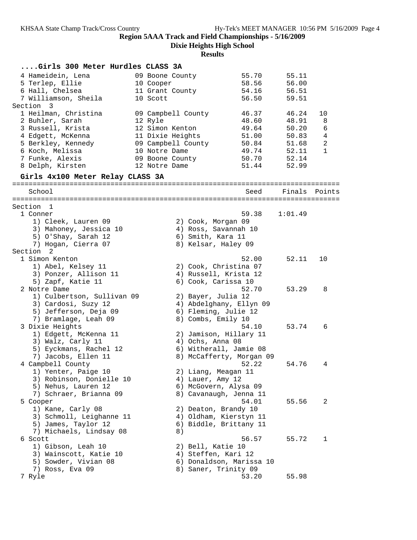**Dixie Heights High School**

| Girls 300 Meter Hurdles CLASS 3A |               |                    |                          |         |                |
|----------------------------------|---------------|--------------------|--------------------------|---------|----------------|
| 4 Hameidein, Lena                |               | 09 Boone County    | 55.70                    | 55.11   |                |
| 5 Terlep, Ellie                  | 10 Cooper     |                    | 58.56                    | 56.00   |                |
| 6 Hall, Chelsea                  |               | 11 Grant County    | 54.16                    | 56.51   |                |
| 7 Williamson, Sheila             | 10 Scott      |                    | 56.50                    | 59.51   |                |
| Section 3                        |               |                    |                          |         |                |
| 1 Heilman, Christina             |               | 09 Campbell County | 46.37                    | 46.24   | 10             |
| 2 Buhler, Sarah                  | 12 Ryle       |                    | 48.60                    | 48.91   | 8              |
| 3 Russell, Krista                |               | 12 Simon Kenton    | 49.64                    | 50.20   | 6              |
| 4 Edgett, McKenna                |               | 11 Dixie Heights   | 51.00                    | 50.83   | $\overline{4}$ |
| 5 Berkley, Kennedy               |               | 09 Campbell County | 50.84                    | 51.68   | 2              |
| 6 Koch, Melissa                  | 10 Notre Dame |                    | 49.74                    | 52.11   | 1              |
| 7 Funke, Alexis                  |               | 09 Boone County    | 50.70                    | 52.14   |                |
| 8 Delph, Kirsten                 | 12 Notre Dame |                    | 51.44                    | 52.99   |                |
| Girls 4x100 Meter Relay CLASS 3A |               |                    |                          |         |                |
|                                  |               |                    |                          |         |                |
| School                           |               |                    | Seed                     | Finals  | Points         |
| Section 1                        |               |                    |                          |         |                |
| 1 Conner                         |               |                    | 59.38                    | 1:01.49 |                |
| 1) Cleek, Lauren 09              |               | 2) Cook, Morgan 09 |                          |         |                |
| 3) Mahoney, Jessica 10           |               |                    | 4) Ross, Savannah 10     |         |                |
| 5) O'Shay, Sarah 12              |               | 6) Smith, Kara 11  |                          |         |                |
| 7) Hogan, Cierra 07              |               |                    | 8) Kelsar, Haley 09      |         |                |
| Section<br>2                     |               |                    |                          |         |                |
| 1 Simon Kenton                   |               |                    | 52.00                    | 52.11   | 10             |
| 1) Abel, Kelsey 11               |               |                    | 2) Cook, Christina 07    |         |                |
| 3) Ponzer, Allison 11            |               |                    | 4) Russell, Krista 12    |         |                |
| 5) Zapf, Katie 11                |               |                    | 6) Cook, Carissa 10      |         |                |
| 2 Notre Dame                     |               |                    | 52.70                    | 53.29   | 8              |
| 1) Culbertson, Sullivan 09       |               | 2) Bayer, Julia 12 |                          |         |                |
| 3) Cardosi, Suzy 12              |               |                    | 4) Abdelghany, Ellyn 09  |         |                |
| 5) Jefferson, Deja 09            |               |                    | 6) Fleming, Julie 12     |         |                |
| 7) Bramlage, Leah 09             |               | 8) Combs, Emily 10 |                          |         |                |
| 3 Dixie Heights                  |               |                    | 54.10                    | 53.74   | 6              |
| 1) Edgett, McKenna 11            |               |                    | 2) Jamison, Hillary 11   |         |                |
| 3) Walz, Carly 11                |               | 4) Ochs, Anna 08   |                          |         |                |
| 5) Eyckmans, Rachel 12           |               |                    | 6) Witherall, Jamie 08   |         |                |
| 7) Jacobs, Ellen 11              |               |                    | 8) McCafferty, Morgan 09 |         |                |
| 4 Campbell County                |               |                    | 52.22                    | 54.76   | 4              |
| 1) Yenter, Paige 10              |               |                    | 2) Liang, Meagan 11      |         |                |
| 3) Robinson, Donielle 10         |               | 4) Lauer, Amy 12   |                          |         |                |
| 5) Nehus, Lauren 12              |               |                    | 6) McGovern, Alysa 09    |         |                |
| 7) Schraer, Brianna 09           |               |                    | 8) Cavanaugh, Jenna 11   |         |                |
| 5 Cooper                         |               |                    | 54.01                    | 55.56   | 2              |
| 1) Kane, Carly 08                |               |                    | 2) Deaton, Brandy 10     |         |                |
| 3) Schmoll, Leighanne 11         |               |                    | 4) Oldham, Kierstyn 11   |         |                |
| 5) James, Taylor 12              |               |                    | 6) Biddle, Brittany 11   |         |                |
| 7) Michaels, Lindsay 08          |               | 8)                 |                          |         |                |
| 6 Scott                          |               |                    | 56.57                    | 55.72   | 1              |
| 1) Gibson, Leah 10               |               | 2) Bell, Katie 10  |                          |         |                |
| 3) Wainscott, Katie 10           |               |                    | 4) Steffen, Kari 12      |         |                |
| 5) Sowder, Vivian 08             |               |                    | 6) Donaldson, Marissa 10 |         |                |
| 7) Ross, Eva 09                  |               |                    | 8) Saner, Trinity 09     |         |                |
| 7 Ryle                           |               |                    | 53.20                    | 55.98   |                |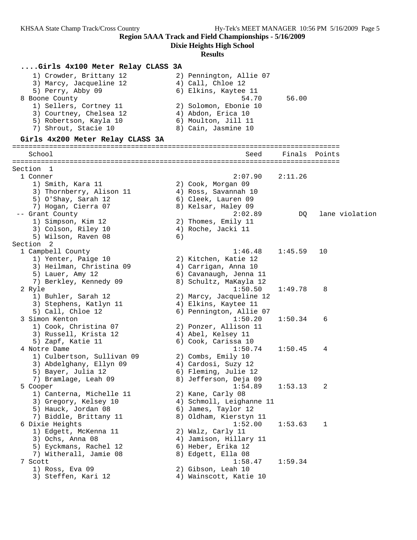**Dixie Heights High School**

#### **Results**

## **....Girls 4x100 Meter Relay CLASS 3A**

| 1) Crowder, Brittany 12 | 2) Pennington, Allie 07 |
|-------------------------|-------------------------|
| 3) Marcy, Jacqueline 12 | 4) Call, Chloe 12       |
| 5) Perry, Abby 09       | 6) Elkins, Kaytee 11    |
| 8 Boone County          | 56.00<br>54.70          |
| 1) Sellers, Cortney 11  | 2) Solomon, Ebonie 10   |
| 3) Courtney, Chelsea 12 | 4) Abdon, Erica 10      |
| 5) Robertson, Kayla 10  | 6) Moulton, Jill 11     |
| 7) Shrout, Stacie 10    | 8) Cain, Jasmine 10     |

### **Girls 4x200 Meter Relay CLASS 3A**

================================================================================ School Seed Finals Points ================================================================================ Section 1 1 Conner 2:07.90 2:11.26 1) Smith, Kara 11 2) Cook, Morgan 09 3) Thornberry, Alison 11  $\hskip10mm 4$ ) Ross, Savannah 10 5) O'Shay, Sarah 12 (6) Cleek, Lauren 09 7) Hogan, Cierra 07 8) Kelsar, Haley 09 -- Grant County 2:02.89 DQ lane violation 1) Simpson, Kim 12 2) Thomes, Emily 11 3) Colson, Riley 10 (4) Roche, Jacki 11 5) Wilson, Raven 08 6) Section 2<br>1 Campbell County 1 Campbell County 1:46.48 1:45.59 10 1) Yenter, Paige 10 2) Kitchen, Katie 12 3) Heilman, Christina 09  $\hskip1cm$  4) Carrigan, Anna 10 5) Lauer, Amy 12 6) Cavanaugh, Jenna 11 7) Berkley, Kennedy 09 8) Schultz, MaKayla 12 2 Ryle 1:50.50 1:49.78 8 1) Buhler, Sarah 12 2) Marcy, Jacqueline 12 3) Stephens, Katlyn 11 4) Elkins, Kaytee 11 5) Call, Chloe 12 6) Pennington, Allie 07 3 Simon Kenton 1:50.20 1:50.34 6 1) Cook, Christina 07 2) Ponzer, Allison 11 3) Russell, Krista 12 (4) Abel, Kelsey 11 5) Zapf, Katie 11 6) Cook, Carissa 10 4 Notre Dame 1:50.74 1:50.45 4 1) Culbertson, Sullivan 09 2) Combs, Emily 10 3) Abdelghany, Ellyn 09 4) Cardosi, Suzy 12 5) Bayer, Julia 12 (6) Fleming, Julie 12 7) Bramlage, Leah 09 8) Jefferson, Deja 09 5 Cooper 1:54.89 1:53.13 2 1) Canterna, Michelle 11 (2) Kane, Carly 08 3) Gregory, Kelsey 10 4) Schmoll, Leighanne 11 5) Hauck, Jordan 08 6) James, Taylor 12 7) Biddle, Brittany 11 8) Oldham, Kierstyn 11 6 Dixie Heights 1:52.00 1:53.63 1 1) Edgett, McKenna 11 2) Walz, Carly 11 3) Ochs, Anna 08 4) Jamison, Hillary 11 5) Eyckmans, Rachel 12 6) Heber, Erika 12 7) Witherall, Jamie 08 8) Edgett, Ella 08 7 Scott 1:58.47 1:59.34 1) Ross, Eva 09 2) Gibson, Leah 10 3) Steffen, Kari 12 4) Wainscott, Katie 10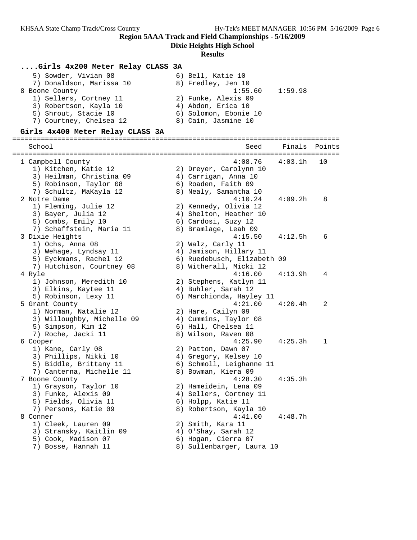**Dixie Heights High School**

#### **Results**

### **....Girls 4x200 Meter Relay CLASS 3A**

| 5) Sowder, Vivian 08     | 6) Bell, Katie 10     |  |
|--------------------------|-----------------------|--|
| 7) Donaldson, Marissa 10 | 8) Fredley, Jen 10    |  |
| 8 Boone County           | 1:59.98<br>1:55.60    |  |
| 1) Sellers, Cortney 11   | 2) Funke, Alexis 09   |  |
| 3) Robertson, Kayla 10   | 4) Abdon, Erica 10    |  |
| 5) Shrout, Stacie 10     | 6) Solomon, Ebonie 10 |  |
| 7) Courtney, Chelsea 12  | 8) Cain, Jasmine 10   |  |
|                          |                       |  |

#### **Girls 4x400 Meter Relay CLASS 3A**

================================================================================ School Seed Finals Points ================================================================================ 1 Campbell County 4:08.76 4:03.1h 10 1) Kitchen, Katie 12 2) Dreyer, Carolynn 10 3) Heilman, Christina 09  $\hskip1cm$  4) Carrigan, Anna 10 5) Robinson, Taylor 08 6) Roaden, Faith 09 7) Schultz, MaKayla 12 8) Nealy, Samantha 10 2 Notre Dame 4:10.24 4:09.2h 8 1) Fleming, Julie 12 2) Kennedy, Olivia 12 3) Bayer, Julia 12 4) Shelton, Heather 10 5) Combs, Emily 10 (6) Cardosi, Suzy 12 7) Schaffstein, Maria 11 8) Bramlage, Leah 09 3 Dixie Heights 4:15.50 4:12.5h 6 1) Ochs, Anna 08 2) Walz, Carly 11 3) Wehage, Lyndsay 11 4) Jamison, Hillary 11 5) Eyckmans, Rachel 12 6) Ruedebusch, Elizabeth 09 7) Hutchison, Courtney 08 8) Witherall, Micki 12 4 Ryle 4:16.00 4:13.9h 4 1) Johnson, Meredith 10 2) Stephens, Katlyn 11 3) Elkins, Kaytee 11 (4) Buhler, Sarah 12 5) Robinson, Lexy 11 6) Marchionda, Hayley 11 5 Grant County 4:21.00 4:20.4h 2 1) Norman, Natalie 12 and 2) Hare, Cailyn 09 3) Willoughby, Michelle 09 4) Cummins, Taylor 08 5) Simpson, Kim 12 6) Hall, Chelsea 11 7) Roche, Jacki 11 8) Wilson, Raven 08 6 Cooper 4:25.90 4:25.3h 1 1) Kane, Carly 08 2) Patton, Dawn 07 3) Phillips, Nikki 10 4) Gregory, Kelsey 10 5) Biddle, Brittany 11 6) Schmoll, Leighanne 11 7) Canterna, Michelle 11 8) Bowman, Kiera 09 7 Boone County 4:28.30 4:35.3h 1) Grayson, Taylor 10 2) Hameidein, Lena 09 3) Funke, Alexis 09 4) Sellers, Cortney 11 5) Fields, Olivia 11 (6) Holpp, Katie 11 7) Persons, Katie 09 8) Robertson, Kayla 10 8 Conner 4:41.00 4:48.7h 1) Cleek, Lauren 09 2) Smith, Kara 11 3) Stransky, Kaitlin 09 4) O'Shay, Sarah 12 5) Cook, Madison 07 (6) Hogan, Cierra 07 7) Bosse, Hannah 11 8) Sullenbarger, Laura 10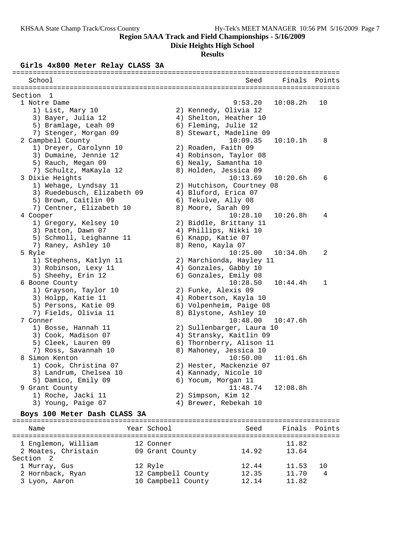**Dixie Heights High School**

## **Results**

### **Girls 4x800 Meter Relay CLASS 3A**

|                               |                             |             |                                         | Finals        |        |
|-------------------------------|-----------------------------|-------------|-----------------------------------------|---------------|--------|
| School                        |                             |             | Seed                                    |               | Points |
| Section<br>1                  |                             |             |                                         |               |        |
| 1 Notre Dame                  |                             |             | 9:53.20                                 | 10:08.2h      | 10     |
| 1) List, Mary 10              |                             |             | 2) Kennedy, Olivia 12                   |               |        |
| 3) Bayer, Julia 12            |                             |             | 4) Shelton, Heather 10                  |               |        |
| 5) Bramlage, Leah 09          |                             |             | 6) Fleming, Julie 12                    |               |        |
| 7) Stenger, Morgan 09         |                             |             | 8) Stewart, Madeline 09                 |               |        |
| 2 Campbell County             |                             |             | 10:09.35                                | 10:10.1h      | 8      |
| 1) Dreyer, Carolynn 10        |                             |             | 2) Roaden, Faith 09                     |               |        |
| 3) Dumaine, Jennie 12         |                             |             | 4) Robinson, Taylor 08                  |               |        |
| 5) Rauch, Megan 09            |                             |             | 6) Nealy, Samantha 10                   |               |        |
| 7) Schultz, MaKayla 12        |                             |             | 8) Holden, Jessica 09                   |               |        |
| 3 Dixie Heights               |                             |             | 10:13.69                                | 10:20.6h      | 6      |
| 1) Wehage, Lyndsay 11         |                             |             | 2) Hutchison, Courtney 08               |               |        |
|                               | 3) Ruedebusch, Elizabeth 09 |             | 4) Bluford, Erica 07                    |               |        |
| 5) Brown, Caitlin 09          |                             |             | 6) Tekulve, Ally 08                     |               |        |
|                               | 7) Centner, Elizabeth 10    |             | 8) Moore, Sarah 09                      |               |        |
| 4 Cooper                      |                             |             | 10:28.10                                | 10:26.8h      | 4      |
| 1) Gregory, Kelsey 10         |                             |             | 2) Biddle, Brittany 11                  |               |        |
| 3) Patton, Dawn 07            |                             |             | 4) Phillips, Nikki 10                   |               |        |
|                               | 5) Schmoll, Leighanne 11    |             | 6) Knapp, Katie 07<br>8) Reno, Kayla 07 |               |        |
| 7) Raney, Ashley 10<br>5 Ryle |                             |             | 10:25.00                                | 10:34.0h      | 2      |
| 1) Stephens, Katlyn 11        |                             |             | 2) Marchionda, Hayley 11                |               |        |
| 3) Robinson, Lexy 11          |                             |             | 4) Gonzales, Gabby 10                   |               |        |
| 5) Sheehy, Erin 12            |                             |             | 6) Gonzales, Emily 08                   |               |        |
| 6 Boone County                |                             |             | 10:28.50                                | 10:44.4h      | 1      |
| 1) Grayson, Taylor 10         |                             |             | 2) Funke, Alexis 09                     |               |        |
| 3) Holpp, Katie 11            |                             |             | 4) Robertson, Kayla 10                  |               |        |
| 5) Persons, Katie 09          |                             |             | 6) Volpenheim, Paige 08                 |               |        |
| 7) Fields, Olivia 11          |                             |             | 8) Blystone, Ashley 10                  |               |        |
| 7 Conner                      |                             |             | 10:48.00                                | 10:47.6h      |        |
| 1) Bosse, Hannah 11           |                             |             | 2) Sullenbarger, Laura 10               |               |        |
| 3) Cook, Madison 07           |                             |             | 4) Stransky, Kaitlin 09                 |               |        |
| 5) Cleek, Lauren 09           |                             |             | 6) Thornberry, Alison 11                |               |        |
| 7) Ross, Savannah 10          |                             |             | 8) Mahoney, Jessica 10                  |               |        |
| 8 Simon Kenton                |                             |             | 10:50.00                                | 11:01.6h      |        |
| 1) Cook, Christina 07         |                             |             | 2) Hester, Mackenzie 07                 |               |        |
| 3) Landrum, Chelsea 10        |                             |             | 4) Kannady, Nicole 10                   |               |        |
| 5) Damico, Emily 09           |                             |             | 6) Yocum, Morgan 11                     |               |        |
| 9 Grant County                |                             |             | 11:48.74                                | 12:08.8h      |        |
| 1) Roche, Jacki 11            |                             |             | 2) Simpson, Kim 12                      |               |        |
| 3) Young, Paige 07            |                             |             | 4) Brewer, Rebekah 10                   |               |        |
| Boys 100 Meter Dash CLASS 3A  |                             |             |                                         |               |        |
| Name                          |                             | Year School | Seed                                    | Finals Points |        |
| 1 Englemon, William           |                             | 12 Conner   |                                         | 11.82         |        |

2 Moates, Christain 09 Grant County 14.92 13.64

 1 Murray, Gus 12 Ryle 12.44 11.53 10 2 Hornback, Ryan 12 Campbell County 12.35 11.70 4 3 Lyon, Aaron 10 Campbell County 12.14 11.82

Section 2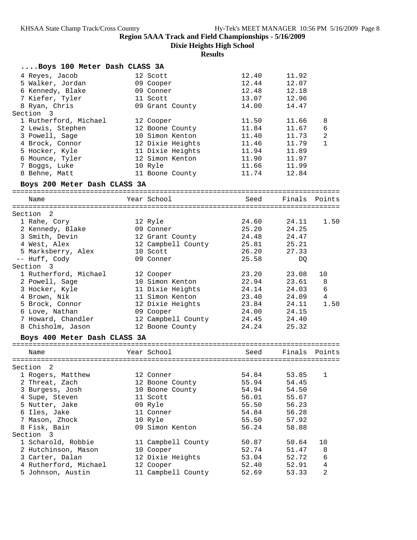**Dixie Heights High School**

| Boys 100 Meter Dash CLASS 3A |                    |       |               |                |
|------------------------------|--------------------|-------|---------------|----------------|
| 4 Reyes, Jacob               | 12 Scott           | 12.40 | 11.92         |                |
| 5 Walker, Jordan             | 09 Cooper          | 12.44 | 12.07         |                |
| 6 Kennedy, Blake             | 09 Conner          | 12.48 | 12.18         |                |
| 7 Kiefer, Tyler              | 11 Scott           | 13.07 | 12.96         |                |
| 8 Ryan, Chris                | 09 Grant County    | 14.00 | 14.47         |                |
| Section 3                    |                    |       |               |                |
| 1 Rutherford, Michael        | 12 Cooper          | 11.50 | 11.66         | 8              |
| 2 Lewis, Stephen             | 12 Boone County    | 11.84 | 11.67         | 6              |
| 3 Powell, Sage               | 10 Simon Kenton    | 11.40 | 11.73         | $\sqrt{2}$     |
| 4 Brock, Connor              | 12 Dixie Heights   | 11.46 | 11.79         | 1              |
| 5 Hocker, Kyle               | 11 Dixie Heights   | 11.94 | 11.89         |                |
| 6 Mounce, Tyler              | 12 Simon Kenton    | 11.90 | 11.97         |                |
| 7 Boggs, Luke                | 10 Ryle            | 11.66 | 11.99         |                |
| 8 Behne, Matt                | 11 Boone County    | 11.74 | 12.84         |                |
| Boys 200 Meter Dash CLASS 3A |                    |       |               |                |
| Name                         | Year School        | Seed  | Finals        | Points         |
|                              |                    |       |               |                |
| Section 2                    |                    |       |               |                |
| 1 Rahe, Cory                 | 12 Ryle            | 24.60 | 24.11         | 1.50           |
| 2 Kennedy, Blake             | 09 Conner          | 25.20 | 24.25         |                |
| 3 Smith, Devin               | 12 Grant County    | 24.48 | 24.47         |                |
| 4 West, Alex                 | 12 Campbell County | 25.81 | 25.21         |                |
| 5 Marksberry, Alex           | 10 Scott           | 26.20 | 27.33         |                |
| -- Huff, Cody                | 09 Conner          | 25.58 | DQ            |                |
| Section 3                    |                    |       |               |                |
| 1 Rutherford, Michael        | 12 Cooper          | 23.20 | 23.08         | 10             |
| 2 Powell, Sage               | 10 Simon Kenton    | 22.94 | 23.61         | 8 <sup>8</sup> |
| 3 Hocker, Kyle               | 11 Dixie Heights   | 24.14 | 24.03         | 6              |
| 4 Brown, Nik                 | 11 Simon Kenton    | 23.40 | 24.09         | $\overline{4}$ |
| 5 Brock, Connor              | 12 Dixie Heights   | 23.84 | 24.11         | 1.50           |
| 6 Love, Nathan               | 09 Cooper          | 24.00 | 24.15         |                |
| 7 Howard, Chandler           | 12 Campbell County | 24.45 | 24.40         |                |
| 8 Chisholm, Jason            | 12 Boone County    | 24.24 | 25.32         |                |
| Boys 400 Meter Dash CLASS 3A |                    |       |               |                |
| Name                         | Year School        | Seed  | Finals Points |                |
|                              |                    |       |               |                |
| Section 2                    |                    |       |               |                |
| 1 Rogers, Matthew            | 12 Conner          | 54.84 | 53.85         | 1              |
| 2 Threat, Zach               | 12 Boone County    | 55.94 | 54.45         |                |
| 3 Burgess, Josh              | 10 Boone County    | 54.94 | 54.50         |                |
| 4 Supe, Steven               | 11 Scott           | 56.01 | 55.67         |                |
| 5 Nutter, Jake               | 09 Ryle            | 55.50 | 56.23         |                |
| 6 Iles, Jake                 | 11 Conner          | 54.84 | 56.28         |                |
| 7 Mason, Zhock               | 10 Ryle            | 55.50 | 57.92         |                |
| 8 Fisk, Bain                 | 09 Simon Kenton    | 56.24 | 58.88         |                |
| Section 3                    |                    |       |               |                |
| 1 Scharold, Robbie           | 11 Campbell County | 50.87 | 50.64         | 10             |
| 2 Hutchinson, Mason          | 10 Cooper          | 52.74 | 51.47         | 8              |
| 3 Carter, Dalan              | 12 Dixie Heights   | 53.04 | 52.72         | 6              |
| 4 Rutherford, Michael        | 12 Cooper          | 52.40 | 52.91         | 4              |
| 5 Johnson, Austin            | 11 Campbell County | 52.69 | 53.33         | $\overline{2}$ |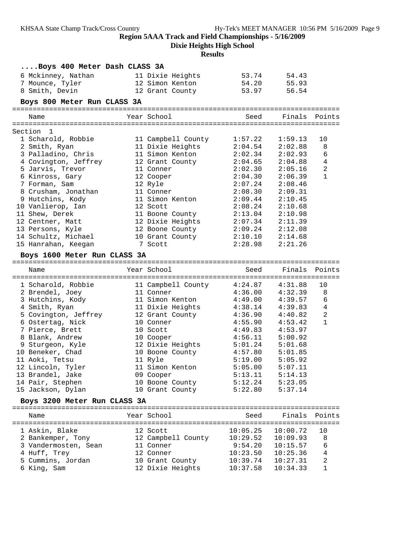**Dixie Heights High School**

| Boys 400 Meter Dash CLASS 3A          |                                           |                      |                      |                |
|---------------------------------------|-------------------------------------------|----------------------|----------------------|----------------|
| 6 Mckinney, Nathan                    | 11 Dixie Heights                          | 53.74                | 54.43                |                |
| 7 Mounce, Tyler                       | 12 Simon Kenton                           | 54.20                | 55.93                |                |
| 8 Smith, Devin                        | 12 Grant County                           | 53.97                | 56.54                |                |
| Boys 800 Meter Run CLASS 3A           |                                           |                      |                      |                |
| Name                                  | Year School                               | Seed                 | Finals Points        |                |
|                                       |                                           |                      |                      |                |
| Section 1                             |                                           |                      |                      |                |
| 1 Scharold, Robbie                    | 11 Campbell County                        | 1:57.22              | 1:59.13              | 10             |
| 2 Smith, Ryan                         | 11 Dixie Heights                          | 2:04.54              | 2:02.88              | 8              |
| 3 Palladino, Chris                    | 11 Simon Kenton                           | 2:02.34              | 2:02.93              | 6              |
| 4 Covington, Jeffrey                  | 12 Grant County                           | 2:04.65              | 2:04.88              | $\overline{4}$ |
| 5 Jarvis, Trevor                      | 11 Conner                                 | 2:02.30              | 2:05.16              | $\overline{a}$ |
| 6 Kinross, Gary                       | 12 Cooper                                 | 2:04.30              | 2:06.39              | $\mathbf{1}$   |
| 7 Forman, Sam                         | 12 Ryle                                   | 2:07.24              | 2:08.46              |                |
| 8 Crusham, Jonathan                   | 11 Conner                                 | 2:08.30              | 2:09.31              |                |
| 9 Hutchins, Kody                      | 11 Simon Kenton                           | 2:09.44              | 2:10.45              |                |
| 10 Vanlierop, Ian                     | 12 Scott                                  | 2:08.24              | 2:10.68              |                |
| 11 Shew, Derek                        | 11 Boone County                           | 2:13.04              | 2:10.98              |                |
| 12 Centner, Matt                      | 12 Dixie Heights                          | 2:07.34              | 2:11.39              |                |
| 13 Persons, Kyle                      | 12 Boone County                           |                      | $2:09.24$ $2:12.08$  |                |
| 14 Schultz, Michael                   | 10 Grant County                           | 2:10.10              | 2:14.68              |                |
| 15 Hanrahan, Keegan                   | 7 Scott                                   | 2:28.98              | 2:21.26              |                |
| Boys 1600 Meter Run CLASS 3A          |                                           |                      |                      |                |
|                                       |                                           |                      |                      |                |
| Name                                  | Year School                               | Seed                 | Finals Points        |                |
|                                       |                                           |                      |                      | 10             |
| 1 Scharold, Robbie<br>2 Brendel, Joey | 11 Campbell County $4:24.87$<br>11 Conner | 4:36.00              | 4:31.88<br>4:32.39   | 8              |
| 3 Hutchins, Kody                      | 11 Simon Kenton                           | 4:49.00              | 4:39.57              | 6              |
| 4 Smith, Ryan                         | 11 Dixie Heights                          | 4:38.14              | 4:39.83              | $\overline{4}$ |
| 5 Covington, Jeffrey                  | 12 Grant County                           | 4:36.90              | 4:40.82              | 2              |
| 6 Ostertag, Nick                      | 10 Conner                                 | 4:55.90              | 4:53.42              | $\mathbf{1}$   |
| 7 Pierce, Brett                       | 10 Scott                                  | 4:49.83              | 4:53.97              |                |
| 8 Blank, Andrew                       | 10 Cooper                                 | 4:56.11              | 5:00.92              |                |
|                                       | 12 Dixie Heights                          | 5:01.24              | 5:01.68              |                |
| 9 Sturgeon, Kyle<br>10 Beneker, Chad  |                                           |                      |                      |                |
| 11 Aoki, Tetsu                        | 10 Boone County                           | 4:57.80<br>5:19.00   | 5:01.85              |                |
|                                       | 11 Ryle                                   |                      | 5:05.92              |                |
| 12 Lincoln, Tyler                     | 11 Simon Kenton                           | 5:05.00              | 5:07.11              |                |
| 13 Brandel, Jake                      | 09 Cooper                                 | 5:13.11              | 5:14.13              |                |
| 14 Pair, Stephen                      | 10 Boone County                           | 5:12.24              | 5:23.05<br>5:37.14   |                |
| 15 Jackson, Dylan                     | 10 Grant County                           | 5:22.80              |                      |                |
| Boys 3200 Meter Run CLASS 3A          |                                           |                      |                      |                |
| Name                                  | Year School                               | Seed                 | Finals               | Points         |
|                                       |                                           |                      |                      |                |
| 1 Askin, Blake                        | 12 Scott                                  | 10:05.25             | 10:00.72             | 10             |
| 2 Bankemper, Tony                     | 12 Campbell County                        | 10:29.52             | 10:09.93             | 8              |
| 3 Vandermosten, Sean                  | 11 Conner                                 | 9:54.20              | 10:15.57             | 6              |
| 4 Huff, Trey                          | 12 Conner                                 | 10:23.50             | 10:25.36             | 4              |
|                                       |                                           |                      |                      |                |
| 5 Cummins, Jordan<br>6 King, Sam      | 10 Grant County<br>12 Dixie Heights       | 10:39.74<br>10:37.58 | 10:27.31<br>10:34.33 | 2<br>1         |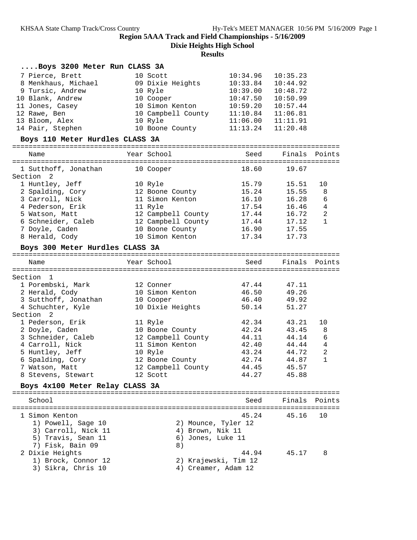**Dixie Heights High School**

| Boys 3200 Meter Run CLASS 3A              |                                       |                |                |                |
|-------------------------------------------|---------------------------------------|----------------|----------------|----------------|
| 7 Pierce, Brett                           | 10 Scott                              | 10:34.96       | 10:35.23       |                |
| 8 Menkhaus, Michael                       | 09 Dixie Heights                      | 10:33.84       | 10:44.92       |                |
| 9 Tursic, Andrew                          | 10 Ryle                               | 10:39.00       | 10:48.72       |                |
| 10 Blank, Andrew                          | 10 Cooper                             | 10:47.50       | 10:50.99       |                |
| 11 Jones, Casey                           | 10 Simon Kenton                       | 10:59.20       | 10:57.44       |                |
| 12 Rawe, Ben                              | 10 Campbell County                    | 11:10.84       | 11:06.81       |                |
| 13 Bloom, Alex                            | 10 Ryle                               | 11:06.00       | 11:11.91       |                |
| 14 Pair, Stephen                          | 10 Boone County                       | 11:13.24       | 11:20.48       |                |
| Boys 110 Meter Hurdles CLASS 3A           |                                       |                |                |                |
| Name                                      | Year School                           | Seed           | Finals         | Points         |
|                                           |                                       |                |                |                |
| 1 Sutthoff, Jonathan                      | 10 Cooper                             | 18.60          | 19.67          |                |
| Section 2                                 |                                       |                |                |                |
| 1 Huntley, Jeff                           | 10 Ryle                               | 15.79          | 15.51          | 10             |
| 2 Spalding, Cory                          | 12 Boone County                       | 15.24          | 15.55          | 8              |
| 3 Carroll, Nick                           | 11 Simon Kenton                       | 16.10          | 16.28          | 6              |
| 4 Pederson, Erik                          | 11 Ryle                               | 17.54          | 16.46          | 4<br>2         |
| 5 Watson, Matt<br>6 Schneider, Caleb      | 12 Campbell County                    | 17.44<br>17.44 | 16.72<br>17.12 | $\mathbf{1}$   |
| 7 Doyle, Caden                            | 12 Campbell County<br>10 Boone County | 16.90          | 17.55          |                |
| 8 Herald, Cody                            | 10 Simon Kenton                       | 17.34          | 17.73          |                |
|                                           |                                       |                |                |                |
| Boys 300 Meter Hurdles CLASS 3A           |                                       |                |                |                |
| Name                                      | Year School                           | Seed           |                | Finals Points  |
|                                           |                                       |                |                |                |
|                                           |                                       |                |                |                |
| Section 1                                 |                                       |                |                |                |
| 1 Porembski, Mark                         | 12 Conner                             | 47.44          | 47.11          |                |
| 2 Herald, Cody                            | 10 Simon Kenton                       | 46.50          | 49.26          |                |
| 3 Sutthoff, Jonathan                      | 10 Cooper                             | 46.40<br>50.14 | 49.92          |                |
| 4 Schuchter, Kyle<br>Section<br>2         | 10 Dixie Heights                      |                | 51.27          |                |
| 1 Pederson, Erik                          | 11 Ryle                               | 42.34          | 43.21          | 10             |
| 2 Doyle, Caden                            | 10 Boone County                       | 42.24          | 43.45          | 8              |
| 3 Schneider, Caleb                        | 12 Campbell County                    | 44.11          | 44.14          | 6              |
| 4 Carroll, Nick                           | 11 Simon Kenton                       | 42.40          | 44.44          | $\overline{4}$ |
| 5 Huntley, Jeff                           | 10 Ryle                               | 43.24          | 44.72          | $\sqrt{2}$     |
| 6 Spalding, Cory                          | 12 Boone County                       | 42.74          | 44.87          | $\mathbf{1}$   |
| 7 Watson, Matt                            | 12 Campbell County                    | 44.45          | 45.57          |                |
| 8 Stevens, Stewart                        | 12 Scott                              | 44.27          | 45.88          |                |
| Boys 4x100 Meter Relay CLASS 3A           |                                       |                |                |                |
|                                           |                                       |                |                |                |
| School                                    |                                       | Seed           | Finals         | Points         |
| 1 Simon Kenton                            |                                       | 45.24          | 45.16          | 10             |
|                                           |                                       |                |                |                |
| 1) Powell, Sage 10                        | 2) Mounce, Tyler 12                   |                |                |                |
| 3) Carroll, Nick 11<br>5) Travis, Sean 11 | 4) Brown, Nik 11<br>6) Jones, Luke 11 |                |                |                |
| 7) Fisk, Bain 09                          | 8)                                    |                |                |                |
| 2 Dixie Heights                           |                                       | 44.94          | 45.17          | 8              |
| 1) Brock, Connor 12                       | 2) Krajewski, Tim 12                  |                |                |                |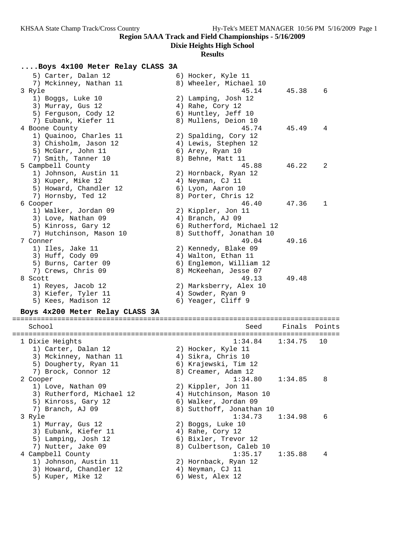### **Dixie Heights High School**

### **Results**

### **....Boys 4x100 Meter Relay CLASS 3A**

| 5) Carter, Dalan 12             | 6) Hocker, Kyle 11        |               |              |
|---------------------------------|---------------------------|---------------|--------------|
| 7) Mckinney, Nathan 11          | 8) Wheeler, Michael 10    |               |              |
| 3 Ryle                          | 45.14                     | 45.38         | 6            |
| 1) Boggs, Luke 10               | 2) Lamping, Josh 12       |               |              |
| 3) Murray, Gus 12               | 4) Rahe, Cory 12          |               |              |
| 5) Ferquson, Cody 12            | 6) Huntley, Jeff 10       |               |              |
| 7) Eubank, Kiefer 11            | 8) Mullens, Deion 10      |               |              |
| 4 Boone County                  | 45.74                     | 45.49         | 4            |
| 1) Quainoo, Charles 11          | 2) Spalding, Cory 12      |               |              |
| 3) Chisholm, Jason 12           | 4) Lewis, Stephen 12      |               |              |
| 5) McGarr, John 11              | 6) Arey, Ryan 10          |               |              |
| 7) Smith, Tanner 10             | 8) Behne, Matt 11         |               |              |
| 5 Campbell County               | 45.88                     | 46.22         | 2            |
| 1) Johnson, Austin 11           | 2) Hornback, Ryan 12      |               |              |
| 3) Kuper, Mike 12               | 4) Neyman, CJ 11          |               |              |
| 5) Howard, Chandler 12          | 6) Lyon, Aaron 10         |               |              |
| 7) Hornsby, Ted 12              | 8) Porter, Chris 12       |               |              |
| 6 Cooper                        | 46.40                     | 47.36         | $\mathbf{1}$ |
| 1) Walker, Jordan 09            | 2) Kippler, Jon 11        |               |              |
| 3) Love, Nathan 09              | 4) Branch, AJ 09          |               |              |
| 5) Kinross, Gary 12             | 6) Rutherford, Michael 12 |               |              |
| 7) Hutchinson, Mason 10         | 8) Sutthoff, Jonathan 10  |               |              |
| 7 Conner                        | 49.04                     | 49.16         |              |
| 1) Iles, Jake 11                | 2) Kennedy, Blake 09      |               |              |
| 3) Huff, Cody 09                | 4) Walton, Ethan 11       |               |              |
| 5) Burns, Carter 09             | 6) Englemon, William 12   |               |              |
| 7) Crews, Chris 09              | 8) McKeehan, Jesse 07     |               |              |
| 8 Scott                         | 49.13                     | 49.48         |              |
| 1) Reyes, Jacob 12              | 2) Marksberry, Alex 10    |               |              |
| 3) Kiefer, Tyler 11             | 4) Sowder, Ryan 9         |               |              |
| 5) Kees, Madison 12             | 6) Yeager, Cliff 9        |               |              |
| Boys 4x200 Meter Relay CLASS 3A |                           |               |              |
|                                 | =========                 |               |              |
| School                          | Seed                      | Finals Points |              |

 School Seed Finals Points ================================================================================ 1 Dixie Heights 1:34.84 1:34.75 10 1) Carter, Dalan 12 2) Hocker, Kyle 11 3) Mckinney, Nathan 11  $\qquad \qquad$  4) Sikra, Chris 10 5) Dougherty, Ryan 11  $\qquad \qquad$  6) Krajewski, Tim 12 7) Brock, Connor 12 and 8) Creamer, Adam 12 2 Cooper 1:34.80 1:34.85 8 1) Love, Nathan 09 2) Kippler, Jon 11 3) Rutherford, Michael 12 4) Hutchinson, Mason 10 5) Kinross, Gary 12 (6) Walker, Jordan 09 7) Branch, AJ 09 8) Sutthoff, Jonathan 10 3 Ryle 1:34.73 1:34.98 6 1) Murray, Gus 12 2) Boggs, Luke 10 3) Eubank, Kiefer 11  $\hskip1cm$  4) Rahe, Cory 12 5) Lamping, Josh 12 (6) Bixler, Trevor 12 7) Nutter, Jake 09 8) Culbertson, Caleb 10 4 Campbell County 1:35.17 1:35.88 4 1) Johnson, Austin 11 2) Hornback, Ryan 12 3) Howard, Chandler 12 (4) Neyman, CJ 11 5) Kuper, Mike 12 (6) West, Alex 12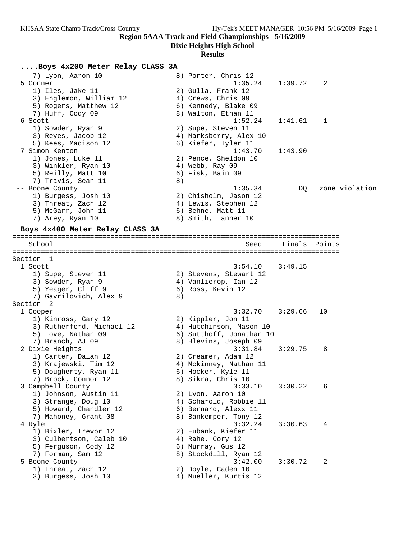**Dixie Heights High School**

# **Results**

# **....Boys 4x200 Meter Relay CLASS 3A**

| 7) Lyon, Aaron 10<br>5 Conner            |    | 8) Porter, Chris 12<br>1:35.24                    | 1:39.72 | 2              |
|------------------------------------------|----|---------------------------------------------------|---------|----------------|
| 1) Iles, Jake 11                         |    | 2) Gulla, Frank 12                                |         |                |
| 3) Englemon, William 12                  |    | 4) Crews, Chris 09                                |         |                |
| 5) Rogers, Matthew 12                    |    | 6) Kennedy, Blake 09                              |         |                |
| 7) Huff, Cody 09                         |    | 8) Walton, Ethan 11                               |         |                |
| 6 Scott                                  |    | 1:52.24                                           | 1:41.61 | 1              |
| 1) Sowder, Ryan 9                        |    | 2) Supe, Steven 11                                |         |                |
| 3) Reyes, Jacob 12                       |    | 4) Marksberry, Alex 10                            |         |                |
| 5) Kees, Madison 12                      |    | 6) Kiefer, Tyler 11                               |         |                |
| 7 Simon Kenton                           |    | 1:43.70                                           | 1:43.90 |                |
| 1) Jones, Luke 11                        |    | 2) Pence, Sheldon 10                              |         |                |
| 3) Winkler, Ryan 10                      |    | 4) Webb, Ray 09                                   |         |                |
| 5) Reilly, Matt 10<br>7) Travis, Sean 11 | 8) | 6) Fisk, Bain 09                                  |         |                |
| -- Boone County                          |    | 1:35.34                                           | DQ      | zone violation |
| 1) Burgess, Josh 10                      |    | 2) Chisholm, Jason 12                             |         |                |
| 3) Threat, Zach 12                       |    | 4) Lewis, Stephen 12                              |         |                |
| 5) McGarr, John 11                       |    | 6) Behne, Matt 11                                 |         |                |
| 7) Arey, Ryan 10                         |    | 8) Smith, Tanner 10                               |         |                |
| Boys 4x400 Meter Relay CLASS 3A          |    |                                                   |         |                |
|                                          |    |                                                   |         |                |
| School                                   |    | Seed                                              | Finals  | Points         |
| Section 1                                |    |                                                   |         |                |
| 1 Scott                                  |    | 3:54.10                                           | 3:49.15 |                |
| 1) Supe, Steven 11                       |    | 2) Stevens, Stewart 12                            |         |                |
| 3) Sowder, Ryan 9                        |    | 4) Vanlierop, Ian 12                              |         |                |
| 5) Yeager, Cliff 9                       |    | 6) Ross, Kevin 12                                 |         |                |
| 7) Gavrilovich, Alex 9                   | 8) |                                                   |         |                |
| Section 2                                |    |                                                   |         |                |
| 1 Cooper                                 |    | 3:32.70                                           | 3:29.66 | 10             |
| 1) Kinross, Gary 12                      |    | 2) Kippler, Jon 11                                |         |                |
| 3) Rutherford, Michael 12                |    | 4) Hutchinson, Mason 10                           |         |                |
| 5) Love, Nathan 09                       |    | 6) Sutthoff, Jonathan 10<br>8) Blevins, Joseph 09 |         |                |
| 7) Branch, AJ 09<br>2 Dixie Heights      |    | 3:31.84                                           | 3:29.75 | 8              |
| 1) Carter, Dalan 12                      |    | 2) Creamer, Adam 12                               |         |                |
| 3) Krajewski, Tim 12                     |    | 4) Mckinney, Nathan 11                            |         |                |
| 5) Dougherty, Ryan 11                    |    | 6) Hocker, Kyle 11                                |         |                |
| 7) Brock, Connor 12                      |    | 8) Sikra, Chris 10                                |         |                |
| 3 Campbell County                        |    | 3:33.10                                           | 3:30.22 | 6              |
| 1) Johnson, Austin 11                    |    | 2) Lyon, Aaron 10                                 |         |                |
| 3) Strange, Doug 10                      |    | 4) Scharold, Robbie 11                            |         |                |
| 5) Howard, Chandler 12                   |    | 6) Bernard, Alexx 11                              |         |                |
| 7) Mahoney, Grant 08                     |    | 8) Bankemper, Tony 12                             |         |                |
| 4 Ryle                                   |    | 3:32.24                                           | 3:30.63 | 4              |
| 1) Bixler, Trevor 12                     |    | 2) Eubank, Kiefer 11                              |         |                |
| 3) Culbertson, Caleb 10                  |    | 4) Rahe, Cory 12                                  |         |                |
| 5) Ferguson, Cody 12                     |    | 6) Murray, Gus 12                                 |         |                |
| 7) Forman, Sam 12                        |    | 8) Stockdill, Ryan 12                             |         |                |
| 5 Boone County                           |    | 3:42.00                                           | 3:30.72 | 2              |
| 1) Threat, Zach 12                       |    | 2) Doyle, Caden 10                                |         |                |
| 3) Burgess, Josh 10                      |    | 4) Mueller, Kurtis 12                             |         |                |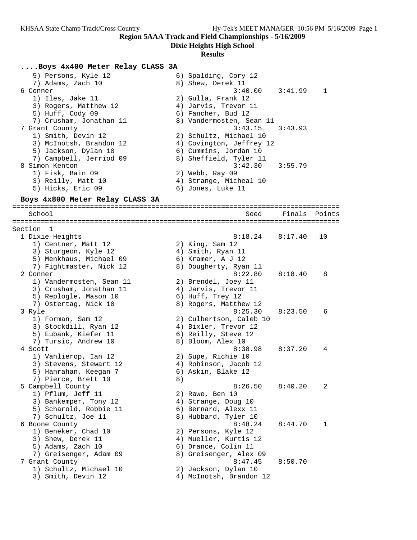**Dixie Heights High School**

#### **Results**

#### **....Boys 4x400 Meter Relay CLASS 3A**

| 5) Persons, Kyle 12<br>7) Adams, Zach 10 | 6) Spalding, Cory 12<br>8) Shew, Derek 11 |                |
|------------------------------------------|-------------------------------------------|----------------|
| 6 Conner                                 | $3:40.00$ $3:41.99$                       | $\overline{1}$ |
| 1) Iles, Jake 11                         | 2) Gulla, Frank 12                        |                |
| 3) Rogers, Matthew 12                    | 4) Jarvis, Trevor 11                      |                |
| 5) Huff, Cody 09                         | 6) Fancher, Bud 12                        |                |
| 7) Crusham, Jonathan 11                  | 8) Vandermosten, Sean 11                  |                |
| 7 Grant County                           | $3:43.15$ $3:43.93$                       |                |
| 1) Smith, Devin 12                       | 2) Schultz, Michael 10                    |                |
| 3) McInotsh, Brandon 12                  | 4) Covington, Jeffrey 12                  |                |
| 5) Jackson, Dylan 10                     | 6) Cummins, Jordan 10                     |                |
| 7) Campbell, Jerriod 09                  | 8) Sheffield, Tyler 11                    |                |
| 8 Simon Kenton                           | $3:42.30$ $3:55.79$                       |                |
| 1) Fisk, Bain 09                         | 2) Webb, Ray 09                           |                |
| 3) Reilly, Matt 10                       | 4) Strange, Micheal 10                    |                |
| 5) Hicks, Eric 09                        | 6) Jones, Luke 11                         |                |
|                                          |                                           |                |

#### **Boys 4x800 Meter Relay CLASS 3A**

================================================================================ School Seed Finals Points ================================================================================ Section 1 1 Dixie Heights 8:18.24 8:17.40 10 1) Centner, Matt 12 2) King, Sam 12 3) Sturgeon, Kyle 12 (4) Smith, Ryan 11 5) Menkhaus, Michael 09 6) Kramer, A J 12 7) Fightmaster, Nick 12 8) Dougherty, Ryan 11 2 Conner 8:22.80 8:18.40 8 1) Vandermosten, Sean 11 2) Brendel, Joey 11 3) Crusham, Jonathan 11  $\qquad \qquad$  4) Jarvis, Trevor 11 5) Replogle, Mason 10 6) Huff, Trey 12 7) Ostertag, Nick 10 8) Rogers, Matthew 12 3 Ryle 8:25.30 8:23.50 6 1) Forman, Sam 12 2) Culbertson, Caleb 10 3) Stockdill, Ryan 12 (4) Bixler, Trevor 12 5) Eubank, Kiefer 11 (6) Reilly, Steve 12 7) Tursic, Andrew 10 8) Bloom, Alex 10 4 Scott 8:38.98 8:37.20 4 1) Vanlierop, Ian 12 2) Supe, Richie 10 3) Stevens, Stewart 12 4) Robinson, Jacob 12 5) Hanrahan, Keegan 7 6) Askin, Blake 12 7) Pierce, Brett 10 (8) 5 Campbell County 8:26.50 8:40.20 2 1) Pflum, Jeff 11 2) Rawe, Ben 10 3) Bankemper, Tony 12 (4) Strange, Doug 10 5) Scharold, Robbie 11 (6) Bernard, Alexx 11 7) Schultz, Joe 11 8) Hubbard, Tyler 10 6 Boone County 8:48.24 8:44.70 1 1) Beneker, Chad 10 2) Persons, Kyle 12 3) Shew, Derek 11 4) Mueller, Kurtis 12 5) Adams, Zach 10 6) Drance, Colin 11 7) Greisenger, Adam 09 8) Greisenger, Alex 09 7 Grant County 8:47.45 8:50.70 1) Schultz, Michael 10 2) Jackson, Dylan 10 3) Smith, Devin 12 4) McInotsh, Brandon 12